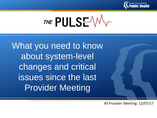

THE PULSEV

What you need to know about system-level changes and critical issues since the last Provider Meeting

All Provider Meeting: 12/07/17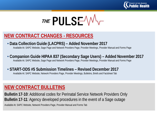



#### **NEW CONTRACT CHANGES - RESOURCES**

#### • **Data Collection Guide (LACPRS) – Added November 2017**

Available At: SAPC Website, Sage Page and Network Providers Page, Provider Meetings, Provider Manual and Forms Page

#### • **Companion Guide HIPAA 837 (Secondary Sage Users) – Added November 2017**

Available At: SAPC Website, Sage Page and Network Providers Page, Provider Meetings, Provider Manual and Forms Page

#### • **START-ODS #5 Submission Timelines – Revised December 2017**

Available At: SAPC Website, Network Providers Page, Provider Meetings, Bulletins, Briefs and Factsheet Tab

#### **NEW CONTRACT BULLETINS**

**Bulletin 17-10**: Additional codes for Perinatal Service Network Providers Only **Bulletin 17-11**: Agency developed procedures in the event of a Sage outage

Available At: SAPC Website, Network Providers Page, Provider Manual and Forms Tab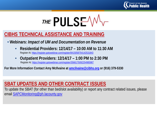

## THE PULSE  $\mathcal{W}$

## **CIBHS TECHNICAL ASSISTANCE AND TRAINING**

- **Webinars:** *Impact of UM and Documentation on Revenue*
	- **Residential Providers: 12/14/17 – 10:00 AM to 11:30 AM**  Register At: <https://register.gotowebinar.com/register/8415058754142531843>
	- **Outpatient Providers: 12/14/17 – 1:00 PM to 2:30 PM** Register At:<https://register.gotowebinar.com/register/3566175092254985987>

**For More Information Contact Amy McIlvaine at [amcilvaine@cibhs.org](mailto:amcilvaine@cibhs.org) or (916) 379-5330**

## **SBAT UPDATES AND OTHER CONTRACT ISSUES**

To update the SBAT (for other than bed/slot availability) or report any contract related issues, please email [SAPCMonitoring@ph.lacounty.gov](mailto:SAPCMonitoring@ph.lacounty.gov)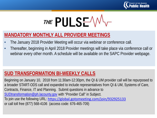

# THE PULSE W

## **MANDATORY MONTHLY ALL PROVIDER MEETINGS**

- The January 2018 Provider Meeting will occur via webinar or conference call.
- Thereafter, beginning in April 2018 Provider meetings will take place via conference call or webinar every other month. A schedule will be available on the SAPC Provider webpage.

#### **SUD TRANSFORMATION BI-WEEKLY CALLS**

Beginning on January 10, 2018 from 11:30am-12:30pm, the QI & UM provider call will be repurposed to a broader START-ODS call and expanded to include representatives from QI & UM, Systems of Care, Contracts, Finance, IT and Planning. Submit questions in advance to [SUDtransformation@ph.lacounty.gov](mailto:SUDtransformation@ph.lacounty.gov) with "Provider Call" in Subject. To join use the following URL: https://global.gotomeeting.com/join/932925133 or call toll free (877) 568-4106 (access code: 676-465-709)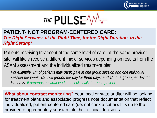



#### **PATIENT- NOT PROGRAM-CENTERED CARE:**  *The Right Services, at the Right Time, for the Right Duration, in the Right Setting!*

Patients receiving treatment at the same level of care, at the same provider site, will likely receive a different mix of services depending on results from the ASAM assessment and the individualized treatment plan.

*For example, 1/4 of patients may participate in one group session and one individual session per week; 1/2 two groups per day for three days; and 1/4 one group per day for five days. It depends on what works best clinically for each patient.*

**What about contract monitoring?** Your local or state auditor will be looking for treatment plans and associated progress note documentation that reflect individualized, patient-centered care (i.e. not cookie-cutter). It is up to the provider to appropriately substantiate their clinical decisions.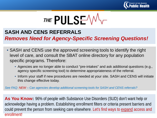



#### **SASH AND CENS REFERRALS**

*Removes Need for Agency-Specific Screening Questions!*

- SASH and CENS use the approved screening tools to identify the right level of care, and consult the SBAT online directory for any population specific programs. Therefore:
	- Agencies are no longer able to conduct "pre-intakes" and ask additional questions (e.g., agency specific screening tool) to determine appropriateness of the referral.
	- Inform your staff if new procedures are needed at your site. SASH and CENS will initiate this change effective today.

*See FAQ: NEW – Can agencies develop additional screening tools for SASH and CENS referrals?*

**As You Know:** 96% of people with Substance Use Disorders (SUD) don't want help or acknowledge having a problem. Establishing enrollment filters or criteria present barriers and could prevent the person from seeking care elsewhere. Let's find ways to expand access and enrollment!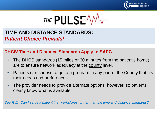



## **TIME AND DISTANCE STANDARDS:**  *Patient Choice Prevails!*

#### **DHCS' Time and Distance Standards Apply to SAPC**

- The DHCS standards (15 miles or 30 minutes from the patient's home) are to ensure network adequacy at the county level.
- Patients can choose to go to a program in any part of the County that fits their needs and preferences.
- The provider needs to provide alternate options, however, so patients clearly know what is available.

*See FAQ: Can I serve a patient that works/lives further than the time and distance standards?*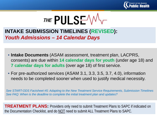



## **INTAKE SUBMISSION TIMELINES (REVISED):**  *Youth Admissions – 14 Calendar Days*

- **Intake Documents** (ASAM assessment, treatment plan, LACPRS, consents) are due within **14 calendar days for youth** (under age 18) and **7 calendar days for adults** (over age 18) of first service.
- For pre-authorized services (ASAM 3.1, 3.3, 3.5, 3.7, 4.0), information needs to be completed sooner when used to justify medical necessity.

*See START-ODS Factsheet #5: Adapting to the New Treatment Service Requirements, Submission Timelines See FAQ: When is the deadline to complete the initial treatment plan and updates?*

**TREATMENT PLANS:** Providers only need to submit Treatment Plans to SAPC if indicated on the Documentation Checklist, and do NOT need to submit ALL Treatment Plans to SAPC.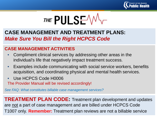



## **CASE MANAGEMENT AND TREATMENT PLANS:**  *Make Sure You Bill the Right HCPCS Code*

#### **CASE MANAGEMENT ACTIVITIES**

- Compliment clinical services by addressing other areas in the individual's life that negatively impact treatment success.
- Examples include communicating with social service workers, benefits acquisition, and coordinating physical and mental health services.
- Use HCPCS Code H0006

The Provider Manual will be revised accordingly!

*See FAQ: What constitutes billable case management services?* 

**TREATMENT PLAN CODE:** Treatment plan development and updates are not a part of case management and are billed under HCPCS Code T1007 only. **Remember:** Treatment plan reviews are not a billable service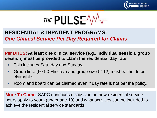



## **RESIDENTIAL & INPATIENT PROGRAMS:**  *One Clinical Service Per Day Required for Claims*

**Per DHCS: At least one clinical service (e.g., individual session, group session) must be provided to claim the residential day rate.**

- This includes Saturday and Sunday.
- Group time (60-90 Minutes) and group size (2-12) must be met to be claimable.
- Room and board can be claimed even if day rate is not per the policy.

**More To Come:** SAPC continues discussion on how residential service hours apply to youth (under age 18) and what activities can be included to achieve the residential service standards.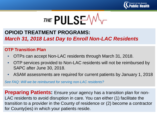



## **OPIOID TREATMENT PROGRAMS:**  *March 31, 2018 Last Day to Enroll Non-LAC Residents*

#### **OTP Transition Plan**

- OTPs can accept Non-LAC residents through March 31, 2018.
- OTP services provided to Non-LAC residents will not be reimbursed by SAPC after June 30, 2018.
- ASAM assessments are required for current patients by January 1, 2018

*See FAQ: Will we be reimbursed for serving non-LAC residents?*

**Preparing Patients:** Ensure your agency has a transition plan for non-LAC residents to avoid disruption in care. You can either (1) facilitate the transition to a provider in the County of residence or (2) become a contractor for County(ies) in which your patients reside.